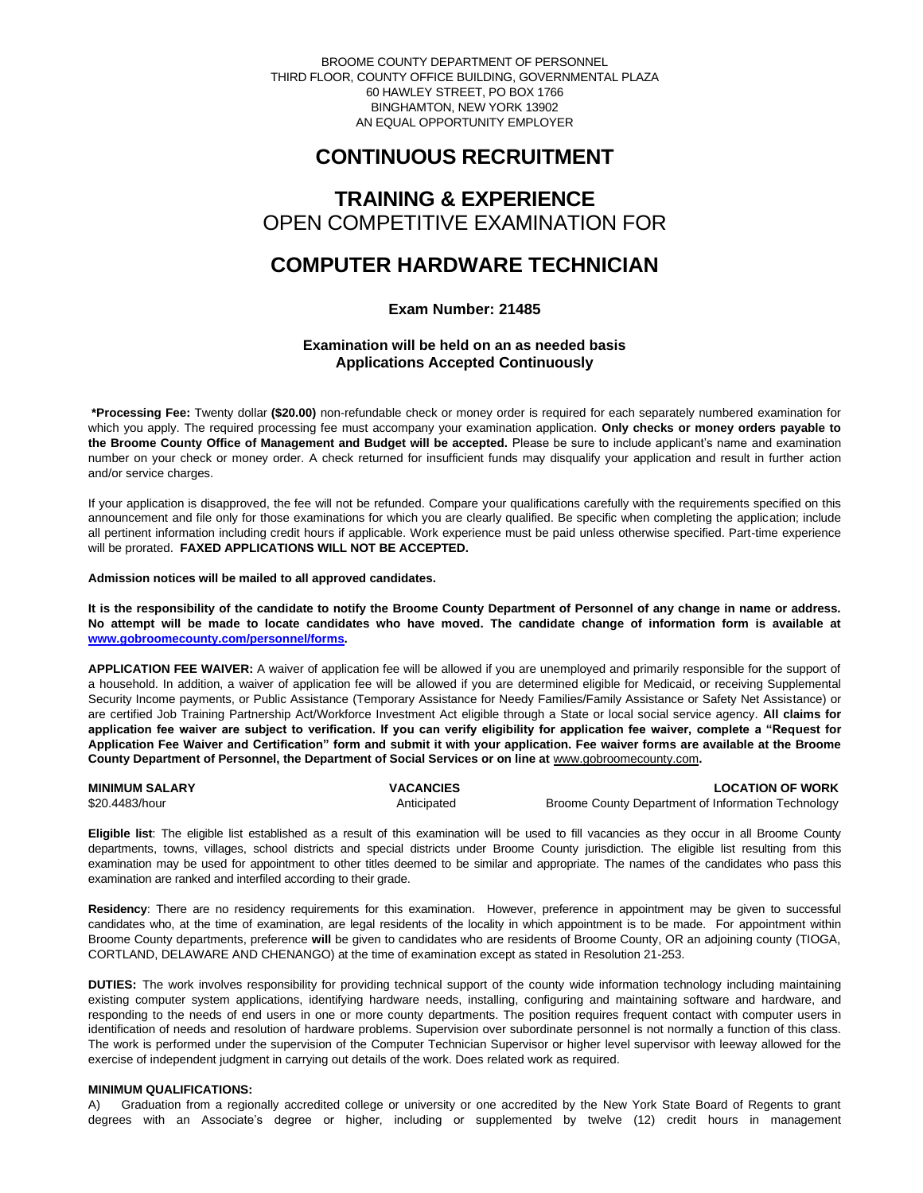BROOME COUNTY DEPARTMENT OF PERSONNEL THIRD FLOOR, COUNTY OFFICE BUILDING, GOVERNMENTAL PLAZA 60 HAWLEY STREET, PO BOX 1766 BINGHAMTON, NEW YORK 13902 AN EQUAL OPPORTUNITY EMPLOYER

# **CONTINUOUS RECRUITMENT**

# **TRAINING & EXPERIENCE** OPEN COMPETITIVE EXAMINATION FOR

# **COMPUTER HARDWARE TECHNICIAN**

# **Exam Number: 21485**

# **Examination will be held on an as needed basis Applications Accepted Continuously**

**\*Processing Fee:** Twenty dollar **(\$20.00)** non-refundable check or money order is required for each separately numbered examination for which you apply. The required processing fee must accompany your examination application. **Only checks or money orders payable to the Broome County Office of Management and Budget will be accepted.** Please be sure to include applicant's name and examination number on your check or money order. A check returned for insufficient funds may disqualify your application and result in further action and/or service charges.

If your application is disapproved, the fee will not be refunded. Compare your qualifications carefully with the requirements specified on this announcement and file only for those examinations for which you are clearly qualified. Be specific when completing the application; include all pertinent information including credit hours if applicable. Work experience must be paid unless otherwise specified. Part-time experience will be prorated. **FAXED APPLICATIONS WILL NOT BE ACCEPTED.** 

**Admission notices will be mailed to all approved candidates.** 

**It is the responsibility of the candidate to notify the Broome County Department of Personnel of any change in name or address. No attempt will be made to locate candidates who have moved. The candidate change of information form is available at [www.gobroomecounty.com/personnel/forms.](http://www.gobroomecounty.com/personnel/forms)** 

**APPLICATION FEE WAIVER:** A waiver of application fee will be allowed if you are unemployed and primarily responsible for the support of a household. In addition, a waiver of application fee will be allowed if you are determined eligible for Medicaid, or receiving Supplemental Security Income payments, or Public Assistance (Temporary Assistance for Needy Families/Family Assistance or Safety Net Assistance) or are certified Job Training Partnership Act/Workforce Investment Act eligible through a State or local social service agency. **All claims for application fee waiver are subject to verification. If you can verify eligibility for application fee waiver, complete a "Request for Application Fee Waiver and Certification" form and submit it with your application. Fee waiver forms are available at the Broome County Department of Personnel, the Department of Social Services or on line at** www.gobroomecounty.com**.** 

| <b>MINIMUM SALARY</b> | <b>VACANCIES</b> | <b>LOCATION OF WORK</b>                            |
|-----------------------|------------------|----------------------------------------------------|
| \$20,4483/hour        | Anticipated      | Broome County Department of Information Technology |

**Eligible list**: The eligible list established as a result of this examination will be used to fill vacancies as they occur in all Broome County departments, towns, villages, school districts and special districts under Broome County jurisdiction. The eligible list resulting from this examination may be used for appointment to other titles deemed to be similar and appropriate. The names of the candidates who pass this examination are ranked and interfiled according to their grade.

**Residency**: There are no residency requirements for this examination. However, preference in appointment may be given to successful candidates who, at the time of examination, are legal residents of the locality in which appointment is to be made. For appointment within Broome County departments, preference **will** be given to candidates who are residents of Broome County, OR an adjoining county (TIOGA, CORTLAND, DELAWARE AND CHENANGO) at the time of examination except as stated in Resolution 21-253.

**DUTIES:** The work involves responsibility for providing technical support of the county wide information technology including maintaining existing computer system applications, identifying hardware needs, installing, configuring and maintaining software and hardware, and responding to the needs of end users in one or more county departments. The position requires frequent contact with computer users in identification of needs and resolution of hardware problems. Supervision over subordinate personnel is not normally a function of this class. The work is performed under the supervision of the Computer Technician Supervisor or higher level supervisor with leeway allowed for the exercise of independent judgment in carrying out details of the work. Does related work as required.

## **MINIMUM QUALIFICATIONS:**

A) Graduation from a regionally accredited college or university or one accredited by the New York State Board of Regents to grant degrees with an Associate's degree or higher, including or supplemented by twelve (12) credit hours in management